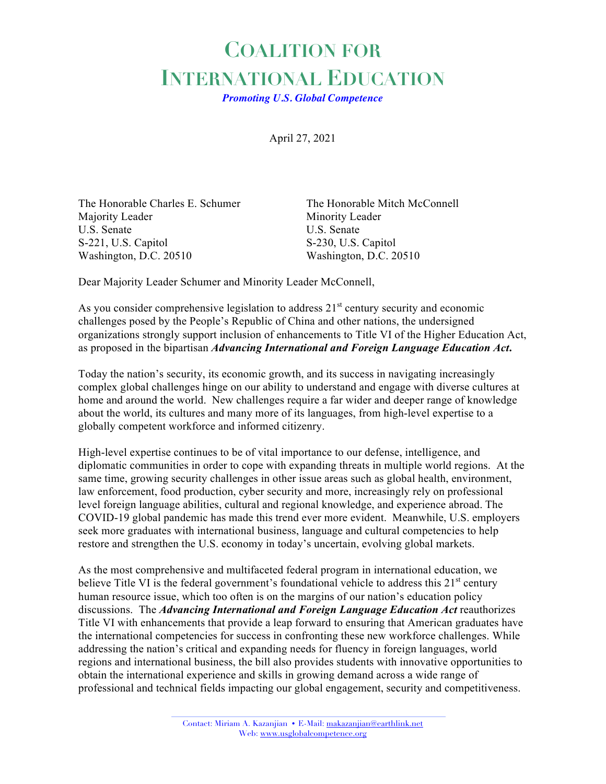## **COALITION FOR INTERNATIONAL EDUCATION**

*Promoting U.S. Global Competence*

April 27, 2021

The Honorable Charles E. Schumer The Honorable Mitch McConnell Majority Leader Minority Leader U.S. Senate U.S. Senate S-221, U.S. Capitol S-230, U.S. Capitol Washington, D.C. 20510 Washington, D.C. 20510

Dear Majority Leader Schumer and Minority Leader McConnell,

As you consider comprehensive legislation to address  $21<sup>st</sup>$  century security and economic challenges posed by the People's Republic of China and other nations, the undersigned organizations strongly support inclusion of enhancements to Title VI of the Higher Education Act, as proposed in the bipartisan *Advancing International and Foreign Language Education Act***.**

Today the nation's security, its economic growth, and its success in navigating increasingly complex global challenges hinge on our ability to understand and engage with diverse cultures at home and around the world. New challenges require a far wider and deeper range of knowledge about the world, its cultures and many more of its languages, from high-level expertise to a globally competent workforce and informed citizenry.

High-level expertise continues to be of vital importance to our defense, intelligence, and diplomatic communities in order to cope with expanding threats in multiple world regions. At the same time, growing security challenges in other issue areas such as global health, environment, law enforcement, food production, cyber security and more, increasingly rely on professional level foreign language abilities, cultural and regional knowledge, and experience abroad. The COVID-19 global pandemic has made this trend ever more evident. Meanwhile, U.S. employers seek more graduates with international business, language and cultural competencies to help restore and strengthen the U.S. economy in today's uncertain, evolving global markets.

As the most comprehensive and multifaceted federal program in international education, we believe Title VI is the federal government's foundational vehicle to address this  $21<sup>st</sup>$  century human resource issue, which too often is on the margins of our nation's education policy discussions. The *Advancing International and Foreign Language Education Act* reauthorizes Title VI with enhancements that provide a leap forward to ensuring that American graduates have the international competencies for success in confronting these new workforce challenges. While addressing the nation's critical and expanding needs for fluency in foreign languages, world regions and international business, the bill also provides students with innovative opportunities to obtain the international experience and skills in growing demand across a wide range of professional and technical fields impacting our global engagement, security and competitiveness.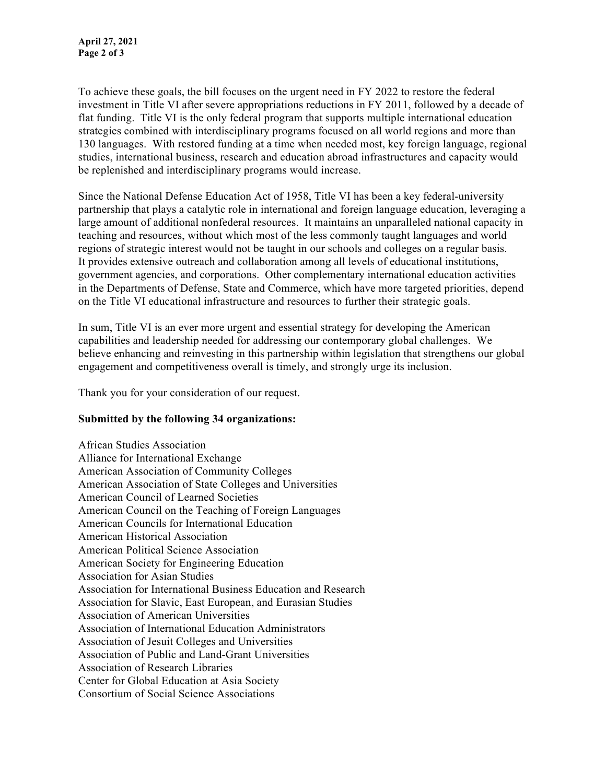To achieve these goals, the bill focuses on the urgent need in FY 2022 to restore the federal investment in Title VI after severe appropriations reductions in FY 2011, followed by a decade of flat funding. Title VI is the only federal program that supports multiple international education strategies combined with interdisciplinary programs focused on all world regions and more than 130 languages. With restored funding at a time when needed most, key foreign language, regional studies, international business, research and education abroad infrastructures and capacity would be replenished and interdisciplinary programs would increase.

Since the National Defense Education Act of 1958, Title VI has been a key federal-university partnership that plays a catalytic role in international and foreign language education, leveraging a large amount of additional nonfederal resources. It maintains an unparalleled national capacity in teaching and resources, without which most of the less commonly taught languages and world regions of strategic interest would not be taught in our schools and colleges on a regular basis. It provides extensive outreach and collaboration among all levels of educational institutions, government agencies, and corporations. Other complementary international education activities in the Departments of Defense, State and Commerce, which have more targeted priorities, depend on the Title VI educational infrastructure and resources to further their strategic goals.

In sum, Title VI is an ever more urgent and essential strategy for developing the American capabilities and leadership needed for addressing our contemporary global challenges. We believe enhancing and reinvesting in this partnership within legislation that strengthens our global engagement and competitiveness overall is timely, and strongly urge its inclusion.

Thank you for your consideration of our request.

## **Submitted by the following 34 organizations:**

African Studies Association Alliance for International Exchange American Association of Community Colleges American Association of State Colleges and Universities American Council of Learned Societies American Council on the Teaching of Foreign Languages American Councils for International Education American Historical Association American Political Science Association American Society for Engineering Education Association for Asian Studies Association for International Business Education and Research Association for Slavic, East European, and Eurasian Studies Association of American Universities Association of International Education Administrators Association of Jesuit Colleges and Universities Association of Public and Land-Grant Universities Association of Research Libraries Center for Global Education at Asia Society Consortium of Social Science Associations